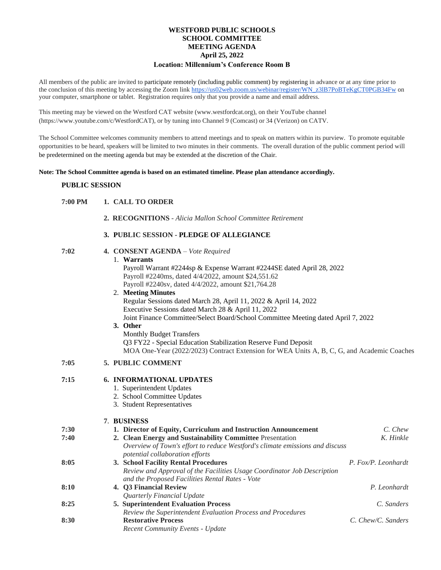#### **WESTFORD PUBLIC SCHOOLS SCHOOL COMMITTEE MEETING AGENDA April 25, 2022 Location: Millennium's Conference Room B**

All members of the public are invited to participate remotely (including public comment) by registering in advance or at any time prior to the conclusion of this meeting by accessing the Zoom link [https://us02web.zoom.us/webinar/register/WN\\_z3lB7PoBTeKgCT0PGB34Fw](https://us02web.zoom.us/webinar/register/WN_z3lB7PoBTeKgCT0PGB34Fw) on your computer, smartphone or tablet. Registration requires only that you provide a name and email address.

This meeting may be viewed on the Westford CAT website (www.westfordcat.org), on their YouTube channel (https://www.youtube.com/c/WestfordCAT), or by tuning into Channel 9 (Comcast) or 34 (Verizon) on CATV.

The School Committee welcomes community members to attend meetings and to speak on matters within its purview. To promote equitable opportunities to be heard, speakers will be limited to two minutes in their comments. The overall duration of the public comment period will be predetermined on the meeting agenda but may be extended at the discretion of the Chair.

#### **Note: The School Committee agenda is based on an estimated timeline. Please plan attendance accordingly.**

#### **PUBLIC SESSION**

| 7:00 PM | 1. CALL TO ORDER |
|---------|------------------|
|---------|------------------|

 **2. RECOGNITIONS** *- Alicia Mallon School Committee Retirement*

## **3. PUBLIC SESSION - PLEDGE OF ALLEGIANCE**

| 7:02 | 4. CONSENT AGENDA - Vote Required                                                          |
|------|--------------------------------------------------------------------------------------------|
|      | 1. Warrants                                                                                |
|      | Payroll Warrant #2244sp & Expense Warrant #2244SE dated April 28, 2022                     |
|      | Payroll #2240ms, dated 4/4/2022, amount \$24,551.62                                        |
|      | Payroll #2240sv, dated 4/4/2022, amount \$21,764.28                                        |
|      | 2. Meeting Minutes                                                                         |
|      | Regular Sessions dated March 28, April 11, 2022 & April 14, 2022                           |
|      | Executive Sessions dated March 28 & April 11, 2022                                         |
|      | Joint Finance Committee/Select Board/School Committee Meeting dated April 7, 2022          |
|      | 3. Other                                                                                   |
|      | <b>Monthly Budget Transfers</b>                                                            |
|      | Q3 FY22 - Special Education Stabilization Reserve Fund Deposit                             |
|      | MOA One-Year (2022/2023) Contract Extension for WEA Units A, B, C, G, and Academic Coaches |
| 7:05 | <b>5. PUBLIC COMMENT</b>                                                                   |
|      |                                                                                            |

## **7:15 6. INFORMATIONAL UPDATES**

- 1. Superintendent Updates
- 2. School Committee Updates
- 3. Student Representatives

## **7**. **BUSINESS**

| 7:30 | 1. Director of Equity, Curriculum and Instruction Announcement                                                             | C. Chew             |
|------|----------------------------------------------------------------------------------------------------------------------------|---------------------|
| 7:40 | 2. Clean Energy and Sustainability Committee Presentation                                                                  | K. Hinkle           |
|      | Overview of Town's effort to reduce Westford's climate emissions and discuss<br>potential collaboration efforts            |                     |
| 8:05 | 3. School Facility Rental Procedures                                                                                       | P. Fox/P. Leonhardt |
|      | Review and Approval of the Facilities Usage Coordinator Job Description<br>and the Proposed Facilities Rental Rates - Vote |                     |
| 8:10 | 4. Q3 Financial Review                                                                                                     | P. Leonhardt        |
|      | Quarterly Financial Update                                                                                                 |                     |
| 8:25 | <b>5. Superintendent Evaluation Process</b>                                                                                | C. Sanders          |
|      | Review the Superintendent Evaluation Process and Procedures                                                                |                     |
| 8:30 | <b>Restorative Process</b>                                                                                                 | C. Chew/C. Sanders  |
|      | <b>Recent Community Events - Update</b>                                                                                    |                     |